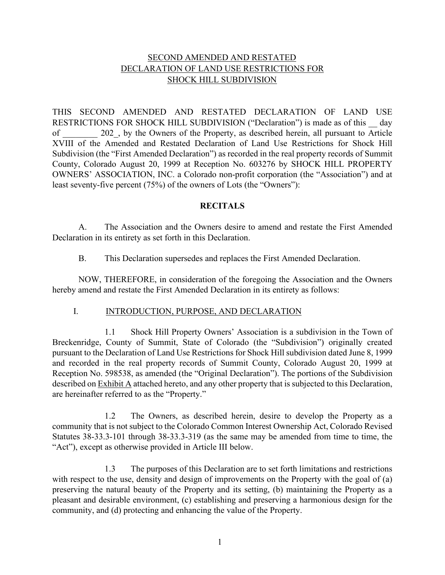## SECOND AMENDED AND RESTATED DECLARATION OF LAND USE RESTRICTIONS FOR SHOCK HILL SUBDIVISION

THIS SECOND AMENDED AND RESTATED DECLARATION OF LAND USE RESTRICTIONS FOR SHOCK HILL SUBDIVISION ("Declaration") is made as of this day of 202, by the Owners of the Property, as described herein, all pursuant to Article XVIII of the Amended and Restated Declaration of Land Use Restrictions for Shock Hill Subdivision (the "First Amended Declaration") as recorded in the real property records of Summit County, Colorado August 20, 1999 at Reception No. 603276 by SHOCK HILL PROPERTY OWNERS' ASSOCIATION, INC. a Colorado non-profit corporation (the "Association") and at least seventy-five percent (75%) of the owners of Lots (the "Owners"):

### **RECITALS**

A. The Association and the Owners desire to amend and restate the First Amended Declaration in its entirety as set forth in this Declaration.

B. This Declaration supersedes and replaces the First Amended Declaration.

NOW, THEREFORE, in consideration of the foregoing the Association and the Owners hereby amend and restate the First Amended Declaration in its entirety as follows:

### I. INTRODUCTION, PURPOSE, AND DECLARATION

1.1 Shock Hill Property Owners' Association is a subdivision in the Town of Breckenridge, County of Summit, State of Colorado (the "Subdivision") originally created pursuant to the Declaration of Land Use Restrictions for Shock Hill subdivision dated June 8, 1999 and recorded in the real property records of Summit County, Colorado August 20, 1999 at Reception No. 598538, as amended (the "Original Declaration"). The portions of the Subdivision described on Exhibit A attached hereto, and any other property that is subjected to this Declaration, are hereinafter referred to as the "Property."

1.2 The Owners, as described herein, desire to develop the Property as a community that is not subject to the Colorado Common Interest Ownership Act, Colorado Revised Statutes 38-33.3-101 through 38-33.3-319 (as the same may be amended from time to time, the "Act"), except as otherwise provided in Article III below.

1.3 The purposes of this Declaration are to set forth limitations and restrictions with respect to the use, density and design of improvements on the Property with the goal of (a) preserving the natural beauty of the Property and its setting, (b) maintaining the Property as a pleasant and desirable environment, (c) establishing and preserving a harmonious design for the community, and (d) protecting and enhancing the value of the Property.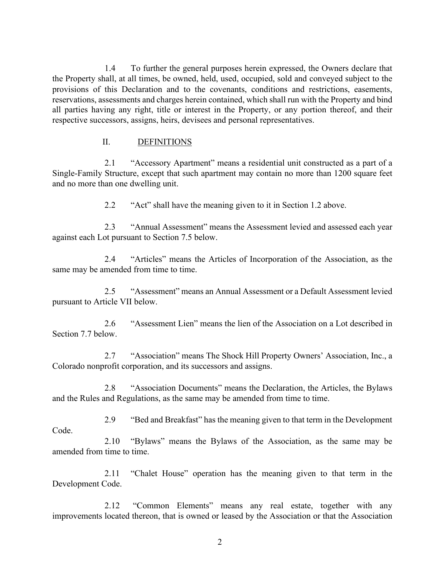1.4 To further the general purposes herein expressed, the Owners declare that the Property shall, at all times, be owned, held, used, occupied, sold and conveyed subject to the provisions of this Declaration and to the covenants, conditions and restrictions, easements, reservations, assessments and charges herein contained, which shall run with the Property and bind all parties having any right, title or interest in the Property, or any portion thereof, and their respective successors, assigns, heirs, devisees and personal representatives.

### II. DEFINITIONS

2.1 "Accessory Apartment" means a residential unit constructed as a part of a Single-Family Structure, except that such apartment may contain no more than 1200 square feet and no more than one dwelling unit.

2.2 "Act" shall have the meaning given to it in Section 1.2 above.

2.3 "Annual Assessment" means the Assessment levied and assessed each year against each Lot pursuant to Section 7.5 below.

2.4 "Articles" means the Articles of Incorporation of the Association, as the same may be amended from time to time.

2.5 "Assessment" means an Annual Assessment or a Default Assessment levied pursuant to Article VII below.

2.6 "Assessment Lien" means the lien of the Association on a Lot described in Section 7.7 below.

2.7 "Association" means The Shock Hill Property Owners' Association, Inc., a Colorado nonprofit corporation, and its successors and assigns.

2.8 "Association Documents" means the Declaration, the Articles, the Bylaws and the Rules and Regulations, as the same may be amended from time to time.

2.9 "Bed and Breakfast" has the meaning given to that term in the Development

Code.

2.10 "Bylaws" means the Bylaws of the Association, as the same may be amended from time to time.

2.11 "Chalet House" operation has the meaning given to that term in the Development Code.

2.12 "Common Elements" means any real estate, together with any improvements located thereon, that is owned or leased by the Association or that the Association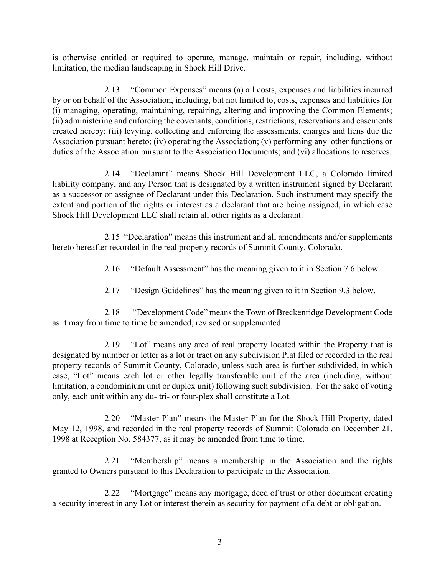is otherwise entitled or required to operate, manage, maintain or repair, including, without limitation, the median landscaping in Shock Hill Drive.

2.13 "Common Expenses" means (a) all costs, expenses and liabilities incurred by or on behalf of the Association, including, but not limited to, costs, expenses and liabilities for (i) managing, operating, maintaining, repairing, altering and improving the Common Elements; (ii) administering and enforcing the covenants, conditions, restrictions, reservations and easements created hereby; (iii) levying, collecting and enforcing the assessments, charges and liens due the Association pursuant hereto; (iv) operating the Association; (v) performing any other functions or duties of the Association pursuant to the Association Documents; and (vi) allocations to reserves.

2.14 "Declarant" means Shock Hill Development LLC, a Colorado limited liability company, and any Person that is designated by a written instrument signed by Declarant as a successor or assignee of Declarant under this Declaration. Such instrument may specify the extent and portion of the rights or interest as a declarant that are being assigned, in which case Shock Hill Development LLC shall retain all other rights as a declarant.

2.15 "Declaration" means this instrument and all amendments and/or supplements hereto hereafter recorded in the real property records of Summit County, Colorado.

2.16 "Default Assessment" has the meaning given to it in Section 7.6 below.

2.17 "Design Guidelines" has the meaning given to it in Section 9.3 below.

2.18 "Development Code" means the Town of Breckenridge Development Code as it may from time to time be amended, revised or supplemented.

2.19 "Lot" means any area of real property located within the Property that is designated by number or letter as a lot or tract on any subdivision Plat filed or recorded in the real property records of Summit County, Colorado, unless such area is further subdivided, in which case, "Lot" means each lot or other legally transferable unit of the area (including, without limitation, a condominium unit or duplex unit) following such subdivision. For the sake of voting only, each unit within any du- tri- or four-plex shall constitute a Lot.

2.20 "Master Plan" means the Master Plan for the Shock Hill Property, dated May 12, 1998, and recorded in the real property records of Summit Colorado on December 21, 1998 at Reception No. 584377, as it may be amended from time to time.

2.21 "Membership" means a membership in the Association and the rights granted to Owners pursuant to this Declaration to participate in the Association.

2.22 "Mortgage" means any mortgage, deed of trust or other document creating a security interest in any Lot or interest therein as security for payment of a debt or obligation.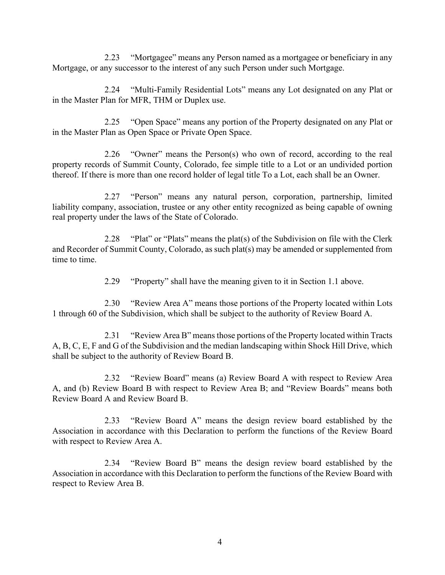2.23 "Mortgagee" means any Person named as a mortgagee or beneficiary in any Mortgage, or any successor to the interest of any such Person under such Mortgage.

2.24 "Multi-Family Residential Lots" means any Lot designated on any Plat or in the Master Plan for MFR, THM or Duplex use.

2.25 "Open Space" means any portion of the Property designated on any Plat or in the Master Plan as Open Space or Private Open Space.

2.26 "Owner" means the Person(s) who own of record, according to the real property records of Summit County, Colorado, fee simple title to a Lot or an undivided portion thereof. If there is more than one record holder of legal title To a Lot, each shall be an Owner.

2.27 "Person" means any natural person, corporation, partnership, limited liability company, association, trustee or any other entity recognized as being capable of owning real property under the laws of the State of Colorado.

2.28 "Plat" or "Plats" means the plat(s) of the Subdivision on file with the Clerk and Recorder of Summit County, Colorado, as such plat(s) may be amended or supplemented from time to time.

2.29 "Property" shall have the meaning given to it in Section 1.1 above.

2.30 "Review Area A" means those portions of the Property located within Lots 1 through 60 of the Subdivision, which shall be subject to the authority of Review Board A.

2.31 "Review Area B" means those portions of the Property located within Tracts A, B, C, E, F and G of the Subdivision and the median landscaping within Shock Hill Drive, which shall be subject to the authority of Review Board B.

2.32 "Review Board" means (a) Review Board A with respect to Review Area A, and (b) Review Board B with respect to Review Area B; and "Review Boards" means both Review Board A and Review Board B.

2.33 "Review Board A" means the design review board established by the Association in accordance with this Declaration to perform the functions of the Review Board with respect to Review Area A.

2.34 "Review Board B" means the design review board established by the Association in accordance with this Declaration to perform the functions of the Review Board with respect to Review Area B.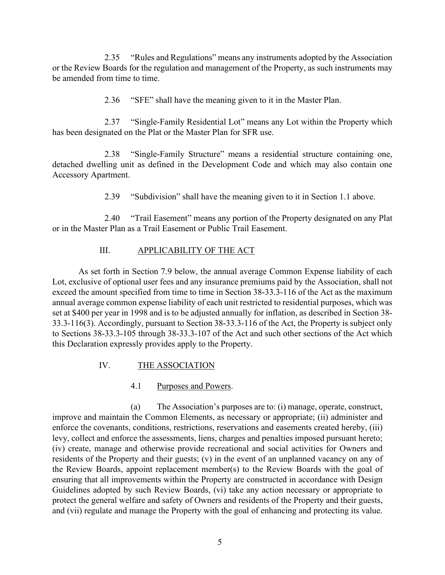2.35 "Rules and Regulations" means any instruments adopted by the Association or the Review Boards for the regulation and management of the Property, as such instruments may be amended from time to time.

2.36 "SFE" shall have the meaning given to it in the Master Plan.

2.37 "Single-Family Residential Lot" means any Lot within the Property which has been designated on the Plat or the Master Plan for SFR use.

2.38 "Single-Family Structure" means a residential structure containing one, detached dwelling unit as defined in the Development Code and which may also contain one Accessory Apartment.

2.39 "Subdivision" shall have the meaning given to it in Section 1.1 above.

2.40 "Trail Easement" means any portion of the Property designated on any Plat or in the Master Plan as a Trail Easement or Public Trail Easement.

## III. APPLICABILITY OF THE ACT

As set forth in Section 7.9 below, the annual average Common Expense liability of each Lot, exclusive of optional user fees and any insurance premiums paid by the Association, shall not exceed the amount specified from time to time in Section 38-33.3-116 of the Act as the maximum annual average common expense liability of each unit restricted to residential purposes, which was set at \$400 per year in 1998 and is to be adjusted annually for inflation, as described in Section 38- 33.3-116(3). Accordingly, pursuant to Section 38-33.3-116 of the Act, the Property is subject only to Sections 38-33.3-105 through 38-33.3-107 of the Act and such other sections of the Act which this Declaration expressly provides apply to the Property.

# IV. THE ASSOCIATION

# 4.1 Purposes and Powers.

(a) The Association's purposes are to: (i) manage, operate, construct, improve and maintain the Common Elements, as necessary or appropriate; (ii) administer and enforce the covenants, conditions, restrictions, reservations and easements created hereby, (iii) levy, collect and enforce the assessments, liens, charges and penalties imposed pursuant hereto; (iv) create, manage and otherwise provide recreational and social activities for Owners and residents of the Property and their guests; (v) in the event of an unplanned vacancy on any of the Review Boards, appoint replacement member(s) to the Review Boards with the goal of ensuring that all improvements within the Property are constructed in accordance with Design Guidelines adopted by such Review Boards, (vi) take any action necessary or appropriate to protect the general welfare and safety of Owners and residents of the Property and their guests, and (vii) regulate and manage the Property with the goal of enhancing and protecting its value.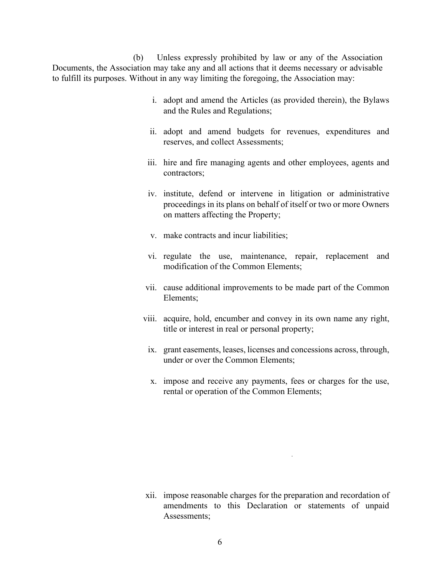(b) Unless expressly prohibited by law or any of the Association Documents, the Association may take any and all actions that it deems necessary or advisable to fulfill its purposes. Without in any way limiting the foregoing, the Association may:

- i. adopt and amend the Articles (as provided therein), the Bylaws and the Rules and Regulations;
- ii. adopt and amend budgets for revenues, expenditures and reserves, and collect Assessments;
- iii. hire and fire managing agents and other employees, agents and contractors;
- iv. institute, defend or intervene in litigation or administrative proceedings in its plans on behalf of itself or two or more Owners on matters affecting the Property;
- v. make contracts and incur liabilities;
- vi. regulate the use, maintenance, repair, replacement and modification of the Common Elements;
- vii. cause additional improvements to be made part of the Common Elements;
- viii. acquire, hold, encumber and convey in its own name any right, title or interest in real or personal property;
	- ix. grant easements, leases, licenses and concessions across, through, under or over the Common Elements;
	- x. impose and receive any payments, fees or charges for the use, rental or operation of the Common Elements;

xii. impose reasonable charges for the preparation and recordation of amendments to this Declaration or statements of unpaid Assessments;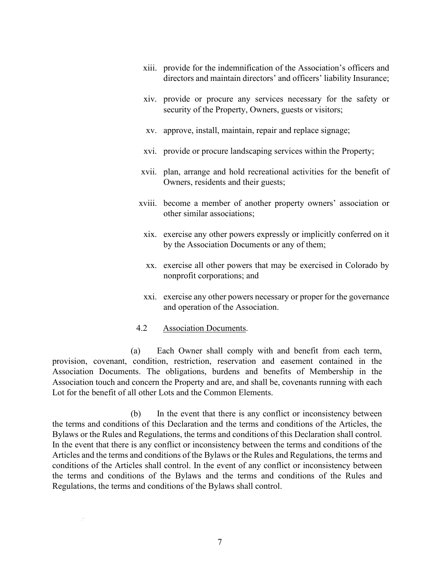- xiii. provide for the indemnification of the Association's officers and directors and maintain directors' and officers' liability Insurance;
- xiv. provide or procure any services necessary for the safety or security of the Property, Owners, guests or visitors;
- xv. approve, install, maintain, repair and replace signage;
- xvi. provide or procure landscaping services within the Property;
- xvii. plan, arrange and hold recreational activities for the benefit of Owners, residents and their guests;
- xviii. become a member of another property owners' association or other similar associations;
	- xix. exercise any other powers expressly or implicitly conferred on it by the Association Documents or any of them;
	- xx. exercise all other powers that may be exercised in Colorado by nonprofit corporations; and
	- xxi. exercise any other powers necessary or proper for the governance and operation of the Association.

### 4.2 Association Documents.

(a) Each Owner shall comply with and benefit from each term, provision, covenant, condition, restriction, reservation and easement contained in the Association Documents. The obligations, burdens and benefits of Membership in the Association touch and concern the Property and are, and shall be, covenants running with each Lot for the benefit of all other Lots and the Common Elements.

(b) In the event that there is any conflict or inconsistency between the terms and conditions of this Declaration and the terms and conditions of the Articles, the Bylaws or the Rules and Regulations, the terms and conditions of this Declaration shall control. In the event that there is any conflict or inconsistency between the terms and conditions of the Articles and the terms and conditions of the Bylaws or the Rules and Regulations, the terms and conditions of the Articles shall control. In the event of any conflict or inconsistency between the terms and conditions of the Bylaws and the terms and conditions of the Rules and Regulations, the terms and conditions of the Bylaws shall control.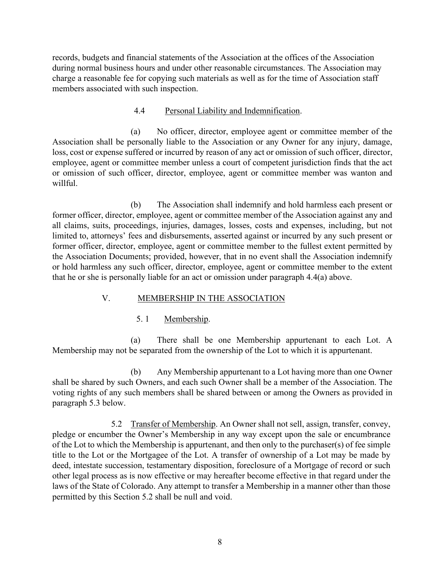records, budgets and financial statements of the Association at the offices of the Association during normal business hours and under other reasonable circumstances. The Association may charge a reasonable fee for copying such materials as well as for the time of Association staff members associated with such inspection.

### 4.4 Personal Liability and Indemnification.

(a) No officer, director, employee agent or committee member of the Association shall be personally liable to the Association or any Owner for any injury, damage, loss, cost or expense suffered or incurred by reason of any act or omission of such officer, director, employee, agent or committee member unless a court of competent jurisdiction finds that the act or omission of such officer, director, employee, agent or committee member was wanton and willful.

(b) The Association shall indemnify and hold harmless each present or former officer, director, employee, agent or committee member of the Association against any and all claims, suits, proceedings, injuries, damages, losses, costs and expenses, including, but not limited to, attorneys' fees and disbursements, asserted against or incurred by any such present or former officer, director, employee, agent or committee member to the fullest extent permitted by the Association Documents; provided, however, that in no event shall the Association indemnify or hold harmless any such officer, director, employee, agent or committee member to the extent that he or she is personally liable for an act or omission under paragraph 4.4(a) above.

## V. MEMBERSHIP IN THE ASSOCIATION

## 5. 1 Membership.

(a) There shall be one Membership appurtenant to each Lot. A Membership may not be separated from the ownership of the Lot to which it is appurtenant.

(b) Any Membership appurtenant to a Lot having more than one Owner shall be shared by such Owners, and each such Owner shall be a member of the Association. The voting rights of any such members shall be shared between or among the Owners as provided in paragraph 5.3 below.

5.2 Transfer of Membership. An Owner shall not sell, assign, transfer, convey, pledge or encumber the Owner's Membership in any way except upon the sale or encumbrance of the Lot to which the Membership is appurtenant, and then only to the purchaser(s) of fee simple title to the Lot or the Mortgagee of the Lot. A transfer of ownership of a Lot may be made by deed, intestate succession, testamentary disposition, foreclosure of a Mortgage of record or such other legal process as is now effective or may hereafter become effective in that regard under the laws of the State of Colorado. Any attempt to transfer a Membership in a manner other than those permitted by this Section 5.2 shall be null and void.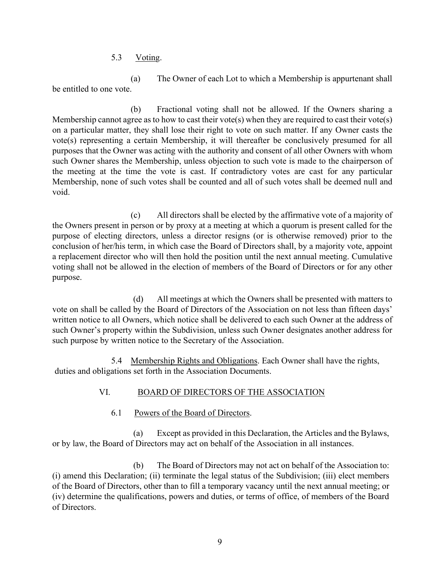5.3 Voting.

(a) The Owner of each Lot to which a Membership is appurtenant shall be entitled to one vote.

(b) Fractional voting shall not be allowed. If the Owners sharing a Membership cannot agree as to how to cast their vote(s) when they are required to cast their vote(s) on a particular matter, they shall lose their right to vote on such matter. If any Owner casts the vote(s) representing a certain Membership, it will thereafter be conclusively presumed for all purposes that the Owner was acting with the authority and consent of all other Owners with whom such Owner shares the Membership, unless objection to such vote is made to the chairperson of the meeting at the time the vote is cast. If contradictory votes are cast for any particular Membership, none of such votes shall be counted and all of such votes shall be deemed null and void.

(c) All directors shall be elected by the affirmative vote of a majority of the Owners present in person or by proxy at a meeting at which a quorum is present called for the purpose of electing directors, unless a director resigns (or is otherwise removed) prior to the conclusion of her/his term, in which case the Board of Directors shall, by a majority vote, appoint a replacement director who will then hold the position until the next annual meeting. Cumulative voting shall not be allowed in the election of members of the Board of Directors or for any other purpose.

(d) All meetings at which the Owners shall be presented with matters to vote on shall be called by the Board of Directors of the Association on not less than fifteen days' written notice to all Owners, which notice shall be delivered to each such Owner at the address of such Owner's property within the Subdivision, unless such Owner designates another address for such purpose by written notice to the Secretary of the Association.

5.4 Membership Rights and Obligations. Each Owner shall have the rights, duties and obligations set forth in the Association Documents.

# VI. BOARD OF DIRECTORS OF THE ASSOCIATION

6.1 Powers of the Board of Directors.

(a) Except as provided in this Declaration, the Articles and the Bylaws, or by law, the Board of Directors may act on behalf of the Association in all instances.

(b) The Board of Directors may not act on behalf of the Association to: (i) amend this Declaration; (ii) terminate the legal status of the Subdivision; (iii) elect members of the Board of Directors, other than to fill a temporary vacancy until the next annual meeting; or (iv) determine the qualifications, powers and duties, or terms of office, of members of the Board of Directors.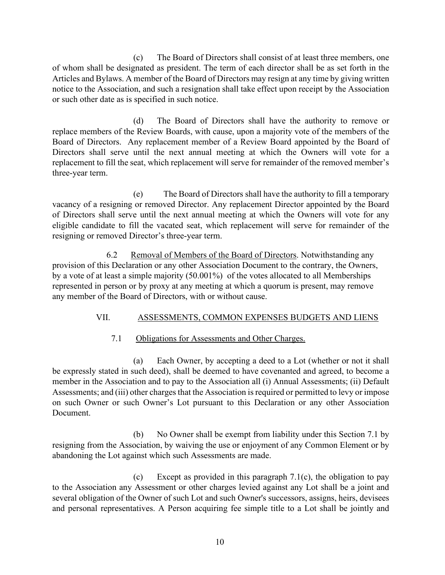(c) The Board of Directors shall consist of at least three members, one of whom shall be designated as president. The term of each director shall be as set forth in the Articles and Bylaws. A member of the Board of Directors may resign at any time by giving written notice to the Association, and such a resignation shall take effect upon receipt by the Association or such other date as is specified in such notice.

(d) The Board of Directors shall have the authority to remove or replace members of the Review Boards, with cause, upon a majority vote of the members of the Board of Directors. Any replacement member of a Review Board appointed by the Board of Directors shall serve until the next annual meeting at which the Owners will vote for a replacement to fill the seat, which replacement will serve for remainder of the removed member's three-year term.

(e) The Board of Directors shall have the authority to fill a temporary vacancy of a resigning or removed Director. Any replacement Director appointed by the Board of Directors shall serve until the next annual meeting at which the Owners will vote for any eligible candidate to fill the vacated seat, which replacement will serve for remainder of the resigning or removed Director's three-year term.

6.2 Removal of Members of the Board of Directors. Notwithstanding any provision of this Declaration or any other Association Document to the contrary, the Owners, by a vote of at least a simple majority (50.001%) of the votes allocated to all Memberships represented in person or by proxy at any meeting at which a quorum is present, may remove any member of the Board of Directors, with or without cause.

## VII. ASSESSMENTS, COMMON EXPENSES BUDGETS AND LIENS

## 7.1 Obligations for Assessments and Other Charges.

(a) Each Owner, by accepting a deed to a Lot (whether or not it shall be expressly stated in such deed), shall be deemed to have covenanted and agreed, to become a member in the Association and to pay to the Association all (i) Annual Assessments; (ii) Default Assessments; and (iii) other charges that the Association is required or permitted to levy or impose on such Owner or such Owner's Lot pursuant to this Declaration or any other Association Document.

(b) No Owner shall be exempt from liability under this Section 7.1 by resigning from the Association, by waiving the use or enjoyment of any Common Element or by abandoning the Lot against which such Assessments are made.

(c) Except as provided in this paragraph 7.1(c), the obligation to pay to the Association any Assessment or other charges levied against any Lot shall be a joint and several obligation of the Owner of such Lot and such Owner's successors, assigns, heirs, devisees and personal representatives. A Person acquiring fee simple title to a Lot shall be jointly and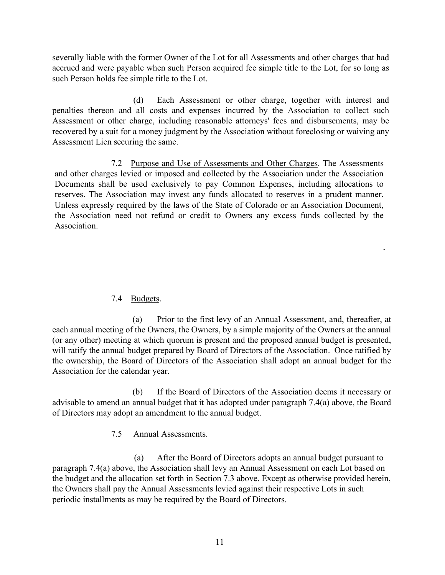severally liable with the former Owner of the Lot for all Assessments and other charges that had accrued and were payable when such Person acquired fee simple title to the Lot, for so long as such Person holds fee simple title to the Lot.

(d) Each Assessment or other charge, together with interest and penalties thereon and all costs and expenses incurred by the Association to collect such Assessment or other charge, including reasonable attorneys' fees and disbursements, may be recovered by a suit for a money judgment by the Association without foreclosing or waiving any Assessment Lien securing the same.

7.2 Purpose and Use of Assessments and Other Charges. The Assessments and other charges levied or imposed and collected by the Association under the Association Documents shall be used exclusively to pay Common Expenses, including allocations to reserves. The Association may invest any funds allocated to reserves in a prudent manner. Unless expressly required by the laws of the State of Colorado or an Association Document, the Association need not refund or credit to Owners any excess funds collected by the Association.

### 7.4 Budgets.

(a) Prior to the first levy of an Annual Assessment, and, thereafter, at each annual meeting of the Owners, the Owners, by a simple majority of the Owners at the annual (or any other) meeting at which quorum is present and the proposed annual budget is presented, will ratify the annual budget prepared by Board of Directors of the Association. Once ratified by the ownership, the Board of Directors of the Association shall adopt an annual budget for the Association for the calendar year.

(b) If the Board of Directors of the Association deems it necessary or advisable to amend an annual budget that it has adopted under paragraph 7.4(a) above, the Board of Directors may adopt an amendment to the annual budget.

## 7.5 Annual Assessments.

(a) After the Board of Directors adopts an annual budget pursuant to paragraph 7.4(a) above, the Association shall levy an Annual Assessment on each Lot based on the budget and the allocation set forth in Section 7.3 above. Except as otherwise provided herein, the Owners shall pay the Annual Assessments levied against their respective Lots in such periodic installments as may be required by the Board of Directors.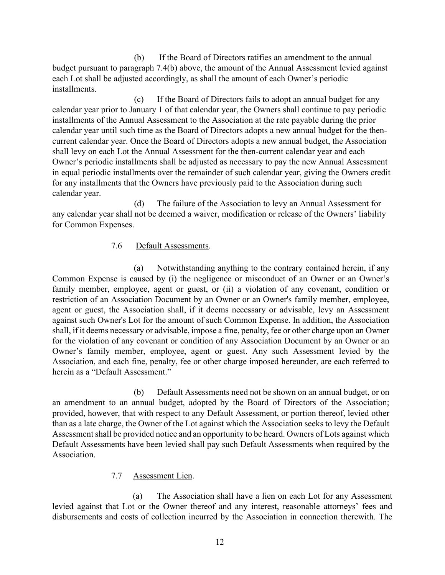(b) If the Board of Directors ratifies an amendment to the annual budget pursuant to paragraph 7.4(b) above, the amount of the Annual Assessment levied against each Lot shall be adjusted accordingly, as shall the amount of each Owner's periodic installments.

(c) If the Board of Directors fails to adopt an annual budget for any calendar year prior to January 1 of that calendar year, the Owners shall continue to pay periodic installments of the Annual Assessment to the Association at the rate payable during the prior calendar year until such time as the Board of Directors adopts a new annual budget for the thencurrent calendar year. Once the Board of Directors adopts a new annual budget, the Association shall levy on each Lot the Annual Assessment for the then-current calendar year and each Owner's periodic installments shall be adjusted as necessary to pay the new Annual Assessment in equal periodic installments over the remainder of such calendar year, giving the Owners credit for any installments that the Owners have previously paid to the Association during such calendar year.

(d) The failure of the Association to levy an Annual Assessment for any calendar year shall not be deemed a waiver, modification or release of the Owners' liability for Common Expenses.

### 7.6 Default Assessments.

(a) Notwithstanding anything to the contrary contained herein, if any Common Expense is caused by (i) the negligence or misconduct of an Owner or an Owner's family member, employee, agent or guest, or (ii) a violation of any covenant, condition or restriction of an Association Document by an Owner or an Owner's family member, employee, agent or guest, the Association shall, if it deems necessary or advisable, levy an Assessment against such Owner's Lot for the amount of such Common Expense. In addition, the Association shall, if it deems necessary or advisable, impose a fine, penalty, fee or other charge upon an Owner for the violation of any covenant or condition of any Association Document by an Owner or an Owner's family member, employee, agent or guest. Any such Assessment levied by the Association, and each fine, penalty, fee or other charge imposed hereunder, are each referred to herein as a "Default Assessment."

(b) Default Assessments need not be shown on an annual budget, or on an amendment to an annual budget, adopted by the Board of Directors of the Association; provided, however, that with respect to any Default Assessment, or portion thereof, levied other than as a late charge, the Owner of the Lot against which the Association seeks to levy the Default Assessment shall be provided notice and an opportunity to be heard. Owners of Lots against which Default Assessments have been levied shall pay such Default Assessments when required by the Association.

### 7.7 Assessment Lien.

(a) The Association shall have a lien on each Lot for any Assessment levied against that Lot or the Owner thereof and any interest, reasonable attorneys' fees and disbursements and costs of collection incurred by the Association in connection therewith. The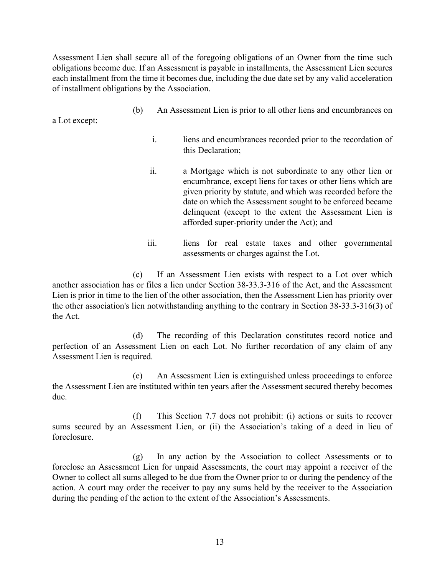Assessment Lien shall secure all of the foregoing obligations of an Owner from the time such obligations become due. If an Assessment is payable in installments, the Assessment Lien secures each installment from the time it becomes due, including the due date set by any valid acceleration of installment obligations by the Association.

(b) An Assessment Lien is prior to all other liens and encumbrances on

a Lot except:

- i. liens and encumbrances recorded prior to the recordation of this Declaration;
- ii. a Mortgage which is not subordinate to any other lien or encumbrance, except liens for taxes or other liens which are given priority by statute, and which was recorded before the date on which the Assessment sought to be enforced became delinquent (except to the extent the Assessment Lien is afforded super-priority under the Act); and
- iii. liens for real estate taxes and other governmental assessments or charges against the Lot.

(c) If an Assessment Lien exists with respect to a Lot over which another association has or files a lien under Section 38-33.3-316 of the Act, and the Assessment Lien is prior in time to the lien of the other association, then the Assessment Lien has priority over the other association's lien notwithstanding anything to the contrary in Section 38-33.3-316(3) of the Act.

(d) The recording of this Declaration constitutes record notice and perfection of an Assessment Lien on each Lot. No further recordation of any claim of any Assessment Lien is required.

(e) An Assessment Lien is extinguished unless proceedings to enforce the Assessment Lien are instituted within ten years after the Assessment secured thereby becomes due.

(f) This Section 7.7 does not prohibit: (i) actions or suits to recover sums secured by an Assessment Lien, or (ii) the Association's taking of a deed in lieu of foreclosure.

(g) In any action by the Association to collect Assessments or to foreclose an Assessment Lien for unpaid Assessments, the court may appoint a receiver of the Owner to collect all sums alleged to be due from the Owner prior to or during the pendency of the action. A court may order the receiver to pay any sums held by the receiver to the Association during the pending of the action to the extent of the Association's Assessments.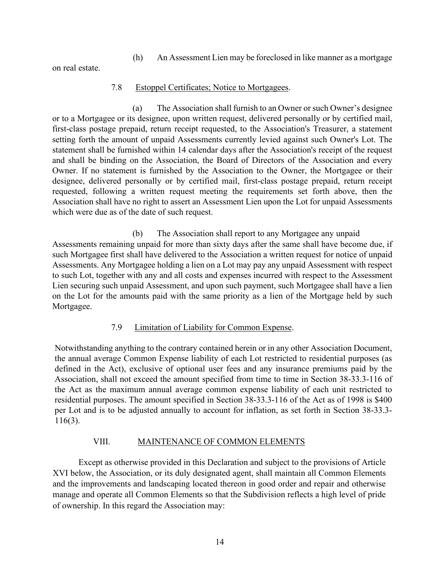### (h) An Assessment Lien may be foreclosed in like manner as a mortgage

on real estate.

### 7.8 Estoppel Certificates; Notice to Mortgagees.

(a) The Association shall furnish to an Owner or such Owner's designee or to a Mortgagee or its designee, upon written request, delivered personally or by certified mail, first-class postage prepaid, return receipt requested, to the Association's Treasurer, a statement setting forth the amount of unpaid Assessments currently levied against such Owner's Lot. The statement shall be furnished within 14 calendar days after the Association's receipt of the request and shall be binding on the Association, the Board of Directors of the Association and every Owner. If no statement is furnished by the Association to the Owner, the Mortgagee or their designee, delivered personally or by certified mail, first-class postage prepaid, return receipt requested, following a written request meeting the requirements set forth above, then the Association shall have no right to assert an Assessment Lien upon the Lot for unpaid Assessments which were due as of the date of such request.

(b) The Association shall report to any Mortgagee any unpaid Assessments remaining unpaid for more than sixty days after the same shall have become due, if such Mortgagee first shall have delivered to the Association a written request for notice of unpaid Assessments. Any Mortgagee holding a lien on a Lot may pay any unpaid Assessment with respect to such Lot, together with any and all costs and expenses incurred with respect to the Assessment Lien securing such unpaid Assessment, and upon such payment, such Mortgagee shall have a lien on the Lot for the amounts paid with the same priority as a lien of the Mortgage held by such Mortgagee.

## 7.9 Limitation of Liability for Common Expense.

Notwithstanding anything to the contrary contained herein or in any other Association Document, the annual average Common Expense liability of each Lot restricted to residential purposes (as defined in the Act), exclusive of optional user fees and any insurance premiums paid by the Association, shall not exceed the amount specified from time to time in Section 38-33.3-116 of the Act as the maximum annual average common expense liability of each unit restricted to residential purposes. The amount specified in Section 38-33.3-116 of the Act as of 1998 is \$400 per Lot and is to be adjusted annually to account for inflation, as set forth in Section 38-33.3- 116(3).

### VIII. MAINTENANCE OF COMMON ELEMENTS

Except as otherwise provided in this Declaration and subject to the provisions of Article XVI below, the Association, or its duly designated agent, shall maintain all Common Elements and the improvements and landscaping located thereon in good order and repair and otherwise manage and operate all Common Elements so that the Subdivision reflects a high level of pride of ownership. In this regard the Association may: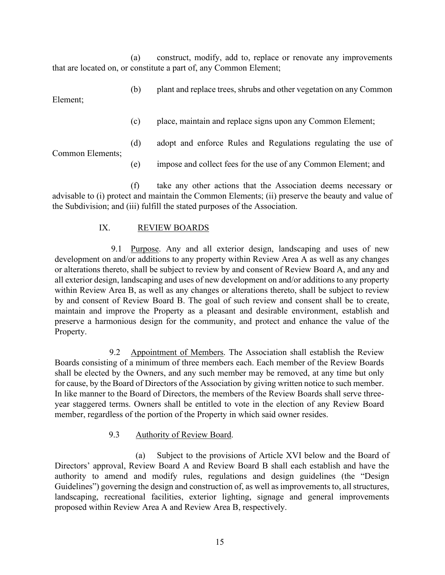(a) construct, modify, add to, replace or renovate any improvements that are located on, or constitute a part of, any Common Element;

(b) plant and replace trees, shrubs and other vegetation on any Common Element;

(c) place, maintain and replace signs upon any Common Element;

(d) adopt and enforce Rules and Regulations regulating the use of

Common Elements;

(e) impose and collect fees for the use of any Common Element; and

(f) take any other actions that the Association deems necessary or advisable to (i) protect and maintain the Common Elements; (ii) preserve the beauty and value of the Subdivision; and (iii) fulfill the stated purposes of the Association.

### IX. REVIEW BOARDS

9.1 Purpose. Any and all exterior design, landscaping and uses of new development on and/or additions to any property within Review Area A as well as any changes or alterations thereto, shall be subject to review by and consent of Review Board A, and any and all exterior design, landscaping and uses of new development on and/or additions to any property within Review Area B, as well as any changes or alterations thereto, shall be subject to review by and consent of Review Board B. The goal of such review and consent shall be to create, maintain and improve the Property as a pleasant and desirable environment, establish and preserve a harmonious design for the community, and protect and enhance the value of the Property.

9.2 Appointment of Members. The Association shall establish the Review Boards consisting of a minimum of three members each. Each member of the Review Boards shall be elected by the Owners, and any such member may be removed, at any time but only for cause, by the Board of Directors of the Association by giving written notice to such member. In like manner to the Board of Directors, the members of the Review Boards shall serve threeyear staggered terms. Owners shall be entitled to vote in the election of any Review Board member, regardless of the portion of the Property in which said owner resides.

## 9.3 Authority of Review Board.

(a) Subject to the provisions of Article XVI below and the Board of Directors' approval, Review Board A and Review Board B shall each establish and have the authority to amend and modify rules, regulations and design guidelines (the "Design Guidelines") governing the design and construction of, as well as improvements to, all structures, landscaping, recreational facilities, exterior lighting, signage and general improvements proposed within Review Area A and Review Area B, respectively.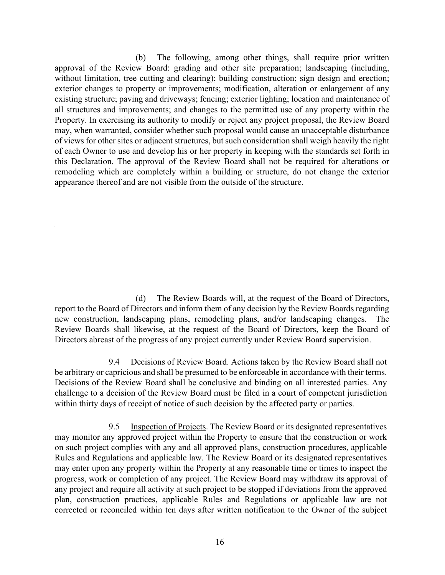(b) The following, among other things, shall require prior written approval of the Review Board: grading and other site preparation; landscaping (including, without limitation, tree cutting and clearing); building construction; sign design and erection; exterior changes to property or improvements; modification, alteration or enlargement of any existing structure; paving and driveways; fencing; exterior lighting; location and maintenance of all structures and improvements; and changes to the permitted use of any property within the Property. In exercising its authority to modify or reject any project proposal, the Review Board may, when warranted, consider whether such proposal would cause an unacceptable disturbance of views for other sites or adjacent structures, but such consideration shall weigh heavily the right of each Owner to use and develop his or her property in keeping with the standards set forth in this Declaration. The approval of the Review Board shall not be required for alterations or remodeling which are completely within a building or structure, do not change the exterior appearance thereof and are not visible from the outside of the structure.

(d) The Review Boards will, at the request of the Board of Directors, report to the Board of Directors and inform them of any decision by the Review Boards regarding new construction, landscaping plans, remodeling plans, and/or landscaping changes. The Review Boards shall likewise, at the request of the Board of Directors, keep the Board of Directors abreast of the progress of any project currently under Review Board supervision.

9.4 Decisions of Review Board. Actions taken by the Review Board shall not be arbitrary or capricious and shall be presumed to be enforceable in accordance with their terms. Decisions of the Review Board shall be conclusive and binding on all interested parties. Any challenge to a decision of the Review Board must be filed in a court of competent jurisdiction within thirty days of receipt of notice of such decision by the affected party or parties.

9.5 Inspection of Projects. The Review Board or its designated representatives may monitor any approved project within the Property to ensure that the construction or work on such project complies with any and all approved plans, construction procedures, applicable Rules and Regulations and applicable law. The Review Board or its designated representatives may enter upon any property within the Property at any reasonable time or times to inspect the progress, work or completion of any project. The Review Board may withdraw its approval of any project and require all activity at such project to be stopped if deviations from the approved plan, construction practices, applicable Rules and Regulations or applicable law are not corrected or reconciled within ten days after written notification to the Owner of the subject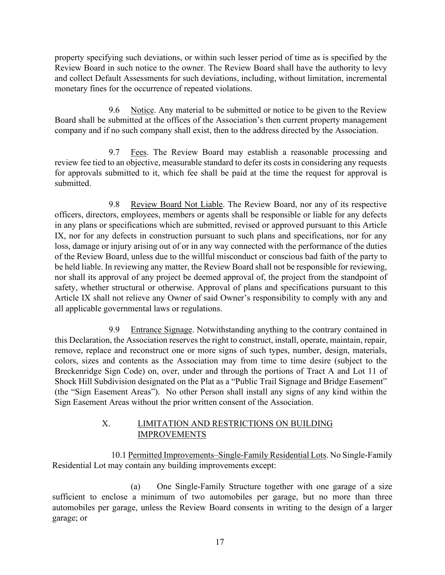property specifying such deviations, or within such lesser period of time as is specified by the Review Board in such notice to the owner. The Review Board shall have the authority to levy and collect Default Assessments for such deviations, including, without limitation, incremental monetary fines for the occurrence of repeated violations.

9.6 Notice. Any material to be submitted or notice to be given to the Review Board shall be submitted at the offices of the Association's then current property management company and if no such company shall exist, then to the address directed by the Association.

9.7 Fees. The Review Board may establish a reasonable processing and review fee tied to an objective, measurable standard to defer its costs in considering any requests for approvals submitted to it, which fee shall be paid at the time the request for approval is submitted.

9.8 Review Board Not Liable. The Review Board, nor any of its respective officers, directors, employees, members or agents shall be responsible or liable for any defects in any plans or specifications which are submitted, revised or approved pursuant to this Article IX, nor for any defects in construction pursuant to such plans and specifications, nor for any loss, damage or injury arising out of or in any way connected with the performance of the duties of the Review Board, unless due to the willful misconduct or conscious bad faith of the party to be held liable. In reviewing any matter, the Review Board shall not be responsible for reviewing, nor shall its approval of any project be deemed approval of, the project from the standpoint of safety, whether structural or otherwise. Approval of plans and specifications pursuant to this Article IX shall not relieve any Owner of said Owner's responsibility to comply with any and all applicable governmental laws or regulations.

9.9 Entrance Signage. Notwithstanding anything to the contrary contained in this Declaration, the Association reserves the right to construct, install, operate, maintain, repair, remove, replace and reconstruct one or more signs of such types, number, design, materials, colors, sizes and contents as the Association may from time to time desire (subject to the Breckenridge Sign Code) on, over, under and through the portions of Tract A and Lot 11 of Shock Hill Subdivision designated on the Plat as a "Public Trail Signage and Bridge Easement" (the "Sign Easement Areas"). No other Person shall install any signs of any kind within the Sign Easement Areas without the prior written consent of the Association.

## X. LIMITATION AND RESTRICTIONS ON BUILDING IMPROVEMENTS

10.1 Permitted Improvements–Single-Family Residential Lots. No Single-Family Residential Lot may contain any building improvements except:

(a) One Single-Family Structure together with one garage of a size sufficient to enclose a minimum of two automobiles per garage, but no more than three automobiles per garage, unless the Review Board consents in writing to the design of a larger garage; or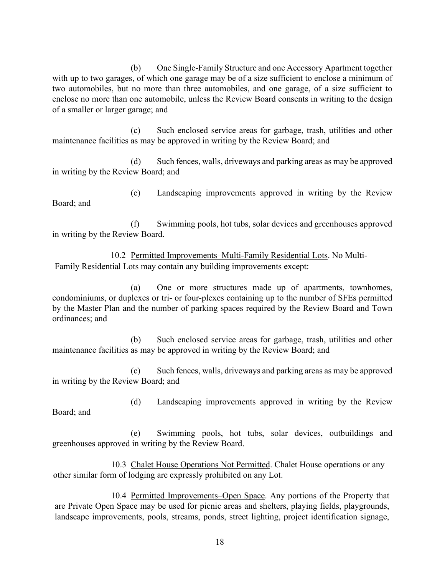(b) One Single-Family Structure and one Accessory Apartment together with up to two garages, of which one garage may be of a size sufficient to enclose a minimum of two automobiles, but no more than three automobiles, and one garage, of a size sufficient to enclose no more than one automobile, unless the Review Board consents in writing to the design of a smaller or larger garage; and

(c) Such enclosed service areas for garbage, trash, utilities and other maintenance facilities as may be approved in writing by the Review Board; and

(d) Such fences, walls, driveways and parking areas as may be approved in writing by the Review Board; and

(e) Landscaping improvements approved in writing by the Review Board; and

(f) Swimming pools, hot tubs, solar devices and greenhouses approved in writing by the Review Board.

10.2 Permitted Improvements–Multi-Family Residential Lots. No Multi-Family Residential Lots may contain any building improvements except:

(a) One or more structures made up of apartments, townhomes, condominiums, or duplexes or tri- or four-plexes containing up to the number of SFEs permitted by the Master Plan and the number of parking spaces required by the Review Board and Town ordinances; and

(b) Such enclosed service areas for garbage, trash, utilities and other maintenance facilities as may be approved in writing by the Review Board; and

(c) Such fences, walls, driveways and parking areas as may be approved in writing by the Review Board; and

(d) Landscaping improvements approved in writing by the Review

(e) Swimming pools, hot tubs, solar devices, outbuildings and greenhouses approved in writing by the Review Board.

Board; and

10.3 Chalet House Operations Not Permitted. Chalet House operations or any other similar form of lodging are expressly prohibited on any Lot.

10.4 Permitted Improvements–Open Space. Any portions of the Property that are Private Open Space may be used for picnic areas and shelters, playing fields, playgrounds, landscape improvements, pools, streams, ponds, street lighting, project identification signage,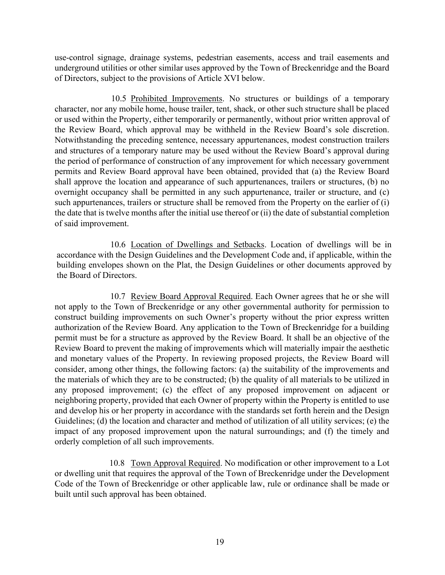use-control signage, drainage systems, pedestrian easements, access and trail easements and underground utilities or other similar uses approved by the Town of Breckenridge and the Board of Directors, subject to the provisions of Article XVI below.

10.5 Prohibited Improvements. No structures or buildings of a temporary character, nor any mobile home, house trailer, tent, shack, or other such structure shall be placed or used within the Property, either temporarily or permanently, without prior written approval of the Review Board, which approval may be withheld in the Review Board's sole discretion. Notwithstanding the preceding sentence, necessary appurtenances, modest construction trailers and structures of a temporary nature may be used without the Review Board's approval during the period of performance of construction of any improvement for which necessary government permits and Review Board approval have been obtained, provided that (a) the Review Board shall approve the location and appearance of such appurtenances, trailers or structures, (b) no overnight occupancy shall be permitted in any such appurtenance, trailer or structure, and (c) such appurtenances, trailers or structure shall be removed from the Property on the earlier of (i) the date that is twelve months after the initial use thereof or (ii) the date of substantial completion of said improvement.

10.6 Location of Dwellings and Setbacks. Location of dwellings will be in accordance with the Design Guidelines and the Development Code and, if applicable, within the building envelopes shown on the Plat, the Design Guidelines or other documents approved by the Board of Directors.

10.7 Review Board Approval Required. Each Owner agrees that he or she will not apply to the Town of Breckenridge or any other governmental authority for permission to construct building improvements on such Owner's property without the prior express written authorization of the Review Board. Any application to the Town of Breckenridge for a building permit must be for a structure as approved by the Review Board. It shall be an objective of the Review Board to prevent the making of improvements which will materially impair the aesthetic and monetary values of the Property. In reviewing proposed projects, the Review Board will consider, among other things, the following factors: (a) the suitability of the improvements and the materials of which they are to be constructed; (b) the quality of all materials to be utilized in any proposed improvement; (c) the effect of any proposed improvement on adjacent or neighboring property, provided that each Owner of property within the Property is entitled to use and develop his or her property in accordance with the standards set forth herein and the Design Guidelines; (d) the location and character and method of utilization of all utility services; (e) the impact of any proposed improvement upon the natural surroundings; and (f) the timely and orderly completion of all such improvements.

10.8 Town Approval Required. No modification or other improvement to a Lot or dwelling unit that requires the approval of the Town of Breckenridge under the Development Code of the Town of Breckenridge or other applicable law, rule or ordinance shall be made or built until such approval has been obtained.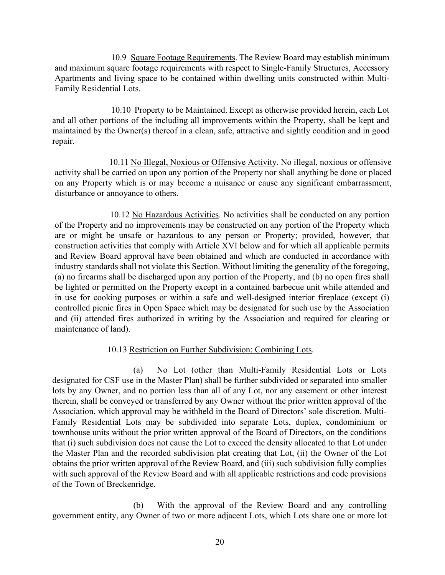10.9 Square Footage Requirements. The Review Board may establish minimum and maximum square footage requirements with respect to Single-Family Structures, Accessory Apartments and living space to be contained within dwelling units constructed within Multi-Family Residential Lots.

10.10 Property to be Maintained. Except as otherwise provided herein, each Lot and all other portions of the including all improvements within the Property, shall be kept and maintained by the Owner(s) thereof in a clean, safe, attractive and sightly condition and in good repair.

10.11 No Illegal, Noxious or Offensive Activity. No illegal, noxious or offensive activity shall be carried on upon any portion of the Property nor shall anything be done or placed on any Property which is or may become a nuisance or cause any significant embarrassment, disturbance or annoyance to others.

10.12 No Hazardous Activities. No activities shall be conducted on any portion of the Property and no improvements may be constructed on any portion of the Property which are or might be unsafe or hazardous to any person or Property; provided, however, that construction activities that comply with Article XVI below and for which all applicable permits and Review Board approval have been obtained and which are conducted in accordance with industry standards shall not violate this Section. Without limiting the generality of the foregoing, (a) no firearms shall be discharged upon any portion of the Property, and (b) no open fires shall be lighted or permitted on the Property except in a contained barbecue unit while attended and in use for cooking purposes or within a safe and well-designed interior fireplace (except (i) controlled picnic fires in Open Space which may be designated for such use by the Association and (ii) attended fires authorized in writing by the Association and required for clearing or maintenance of land).

## 10.13 Restriction on Further Subdivision: Combining Lots.

(a) No Lot (other than Multi-Family Residential Lots or Lots designated for CSF use in the Master Plan) shall be further subdivided or separated into smaller lots by any Owner, and no portion less than all of any Lot, nor any easement or other interest therein, shall be conveyed or transferred by any Owner without the prior written approval of the Association, which approval may be withheld in the Board of Directors' sole discretion. Multi-Family Residential Lots may be subdivided into separate Lots, duplex, condominium or townhouse units without the prior written approval of the Board of Directors, on the conditions that (i) such subdivision does not cause the Lot to exceed the density allocated to that Lot under the Master Plan and the recorded subdivision plat creating that Lot, (ii) the Owner of the Lot obtains the prior written approval of the Review Board, and (iii) such subdivision fully complies with such approval of the Review Board and with all applicable restrictions and code provisions of the Town of Breckenridge.

(b) With the approval of the Review Board and any controlling government entity, any Owner of two or more adjacent Lots, which Lots share one or more lot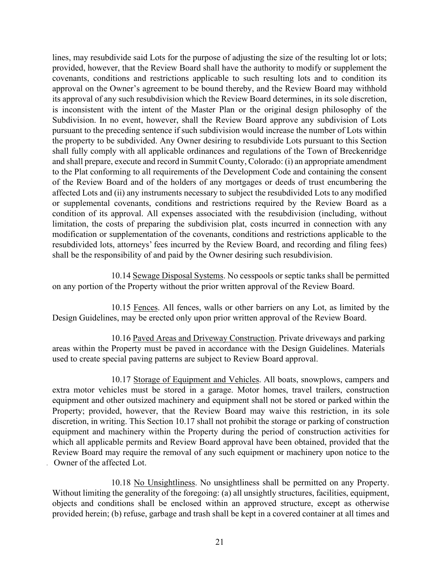lines, may resubdivide said Lots for the purpose of adjusting the size of the resulting lot or lots; provided, however, that the Review Board shall have the authority to modify or supplement the covenants, conditions and restrictions applicable to such resulting lots and to condition its approval on the Owner's agreement to be bound thereby, and the Review Board may withhold its approval of any such resubdivision which the Review Board determines, in its sole discretion, is inconsistent with the intent of the Master Plan or the original design philosophy of the Subdivision. In no event, however, shall the Review Board approve any subdivision of Lots pursuant to the preceding sentence if such subdivision would increase the number of Lots within the property to be subdivided. Any Owner desiring to resubdivide Lots pursuant to this Section shall fully comply with all applicable ordinances and regulations of the Town of Breckenridge and shall prepare, execute and record in Summit County, Colorado: (i) an appropriate amendment to the Plat conforming to all requirements of the Development Code and containing the consent of the Review Board and of the holders of any mortgages or deeds of trust encumbering the affected Lots and (ii) any instruments necessary to subject the resubdivided Lots to any modified or supplemental covenants, conditions and restrictions required by the Review Board as a condition of its approval. All expenses associated with the resubdivision (including, without limitation, the costs of preparing the subdivision plat, costs incurred in connection with any modification or supplementation of the covenants, conditions and restrictions applicable to the resubdivided lots, attorneys' fees incurred by the Review Board, and recording and filing fees) shall be the responsibility of and paid by the Owner desiring such resubdivision.

10.14 Sewage Disposal Systems. No cesspools or septic tanks shall be permitted on any portion of the Property without the prior written approval of the Review Board.

10.15 Fences. All fences, walls or other barriers on any Lot, as limited by the Design Guidelines, may be erected only upon prior written approval of the Review Board.

10.16 Paved Areas and Driveway Construction. Private driveways and parking areas within the Property must be paved in accordance with the Design Guidelines. Materials used to create special paving patterns are subject to Review Board approval.

10.17 Storage of Equipment and Vehicles. All boats, snowplows, campers and extra motor vehicles must be stored in a garage. Motor homes, travel trailers, construction equipment and other outsized machinery and equipment shall not be stored or parked within the Property; provided, however, that the Review Board may waive this restriction, in its sole discretion, in writing. This Section 10.17 shall not prohibit the storage or parking of construction equipment and machinery within the Property during the period of construction activities for which all applicable permits and Review Board approval have been obtained, provided that the Review Board may require the removal of any such equipment or machinery upon notice to the Owner of the affected Lot.

10.18 No Unsightliness. No unsightliness shall be permitted on any Property. Without limiting the generality of the foregoing: (a) all unsightly structures, facilities, equipment, objects and conditions shall be enclosed within an approved structure, except as otherwise provided herein; (b) refuse, garbage and trash shall be kept in a covered container at all times and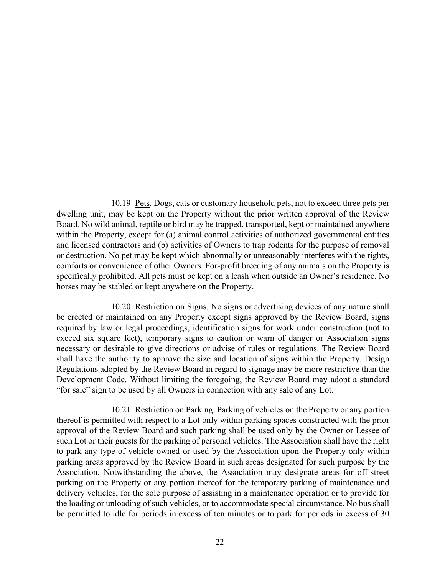10.19 Pets. Dogs, cats or customary household pets, not to exceed three pets per dwelling unit, may be kept on the Property without the prior written approval of the Review Board. No wild animal, reptile or bird may be trapped, transported, kept or maintained anywhere within the Property, except for (a) animal control activities of authorized governmental entities and licensed contractors and (b) activities of Owners to trap rodents for the purpose of removal or destruction. No pet may be kept which abnormally or unreasonably interferes with the rights, comforts or convenience of other Owners. For-profit breeding of any animals on the Property is specifically prohibited. All pets must be kept on a leash when outside an Owner's residence. No horses may be stabled or kept anywhere on the Property.

10.20 Restriction on Signs. No signs or advertising devices of any nature shall be erected or maintained on any Property except signs approved by the Review Board, signs required by law or legal proceedings, identification signs for work under construction (not to exceed six square feet), temporary signs to caution or warn of danger or Association signs necessary or desirable to give directions or advise of rules or regulations. The Review Board shall have the authority to approve the size and location of signs within the Property. Design Regulations adopted by the Review Board in regard to signage may be more restrictive than the Development Code. Without limiting the foregoing, the Review Board may adopt a standard "for sale" sign to be used by all Owners in connection with any sale of any Lot.

10.21 Restriction on Parking. Parking of vehicles on the Property or any portion thereof is permitted with respect to a Lot only within parking spaces constructed with the prior approval of the Review Board and such parking shall be used only by the Owner or Lessee of such Lot or their guests for the parking of personal vehicles. The Association shall have the right to park any type of vehicle owned or used by the Association upon the Property only within parking areas approved by the Review Board in such areas designated for such purpose by the Association. Notwithstanding the above, the Association may designate areas for off-street parking on the Property or any portion thereof for the temporary parking of maintenance and delivery vehicles, for the sole purpose of assisting in a maintenance operation or to provide for the loading or unloading of such vehicles, or to accommodate special circumstance. No bus shall be permitted to idle for periods in excess of ten minutes or to park for periods in excess of 30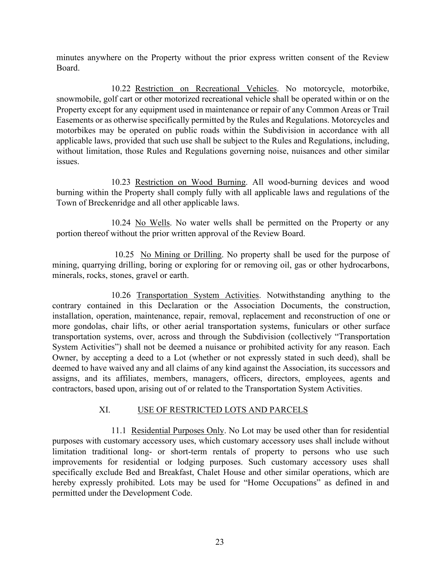minutes anywhere on the Property without the prior express written consent of the Review Board.

10.22 Restriction on Recreational Vehicles. No motorcycle, motorbike, snowmobile, golf cart or other motorized recreational vehicle shall be operated within or on the Property except for any equipment used in maintenance or repair of any Common Areas or Trail Easements or as otherwise specifically permitted by the Rules and Regulations. Motorcycles and motorbikes may be operated on public roads within the Subdivision in accordance with all applicable laws, provided that such use shall be subject to the Rules and Regulations, including, without limitation, those Rules and Regulations governing noise, nuisances and other similar issues.

10.23 Restriction on Wood Burning. All wood-burning devices and wood burning within the Property shall comply fully with all applicable laws and regulations of the Town of Breckenridge and all other applicable laws.

10.24 No Wells. No water wells shall be permitted on the Property or any portion thereof without the prior written approval of the Review Board.

10.25 No Mining or Drilling. No property shall be used for the purpose of mining, quarrying drilling, boring or exploring for or removing oil, gas or other hydrocarbons, minerals, rocks, stones, gravel or earth.

10.26 Transportation System Activities. Notwithstanding anything to the contrary contained in this Declaration or the Association Documents, the construction, installation, operation, maintenance, repair, removal, replacement and reconstruction of one or more gondolas, chair lifts, or other aerial transportation systems, funiculars or other surface transportation systems, over, across and through the Subdivision (collectively "Transportation System Activities") shall not be deemed a nuisance or prohibited activity for any reason. Each Owner, by accepting a deed to a Lot (whether or not expressly stated in such deed), shall be deemed to have waived any and all claims of any kind against the Association, its successors and assigns, and its affiliates, members, managers, officers, directors, employees, agents and contractors, based upon, arising out of or related to the Transportation System Activities.

## XI. USE OF RESTRICTED LOTS AND PARCELS

11.1 Residential Purposes Only. No Lot may be used other than for residential purposes with customary accessory uses, which customary accessory uses shall include without limitation traditional long- or short-term rentals of property to persons who use such improvements for residential or lodging purposes. Such customary accessory uses shall specifically exclude Bed and Breakfast, Chalet House and other similar operations, which are hereby expressly prohibited. Lots may be used for "Home Occupations" as defined in and permitted under the Development Code.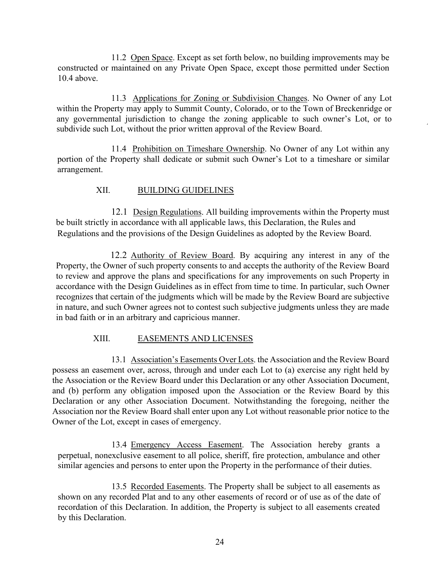11.2 Open Space. Except as set forth below, no building improvements may be constructed or maintained on any Private Open Space, except those permitted under Section 10.4 above.

11.3 Applications for Zoning or Subdivision Changes. No Owner of any Lot within the Property may apply to Summit County, Colorado, or to the Town of Breckenridge or any governmental jurisdiction to change the zoning applicable to such owner's Lot, or to subdivide such Lot, without the prior written approval of the Review Board.

11.4 Prohibition on Timeshare Ownership. No Owner of any Lot within any portion of the Property shall dedicate or submit such Owner's Lot to a timeshare or similar arrangement.

## XII. BUILDING GUIDELINES

12.1 Design Regulations. All building improvements within the Property must be built strictly in accordance with all applicable laws, this Declaration, the Rules and Regulations and the provisions of the Design Guidelines as adopted by the Review Board.

12.2 Authority of Review Board. By acquiring any interest in any of the Property, the Owner of such property consents to and accepts the authority of the Review Board to review and approve the plans and specifications for any improvements on such Property in accordance with the Design Guidelines as in effect from time to time. In particular, such Owner recognizes that certain of the judgments which will be made by the Review Board are subjective in nature, and such Owner agrees not to contest such subjective judgments unless they are made in bad faith or in an arbitrary and capricious manner.

# XIII. EASEMENTS AND LICENSES

13.1 Association's Easements Over Lots. the Association and the Review Board possess an easement over, across, through and under each Lot to (a) exercise any right held by the Association or the Review Board under this Declaration or any other Association Document, and (b) perform any obligation imposed upon the Association or the Review Board by this Declaration or any other Association Document. Notwithstanding the foregoing, neither the Association nor the Review Board shall enter upon any Lot without reasonable prior notice to the Owner of the Lot, except in cases of emergency.

13.4 Emergency Access Easement. The Association hereby grants a perpetual, nonexclusive easement to all police, sheriff, fire protection, ambulance and other similar agencies and persons to enter upon the Property in the performance of their duties.

13.5 Recorded Easements. The Property shall be subject to all easements as shown on any recorded Plat and to any other easements of record or of use as of the date of recordation of this Declaration. In addition, the Property is subject to all easements created by this Declaration.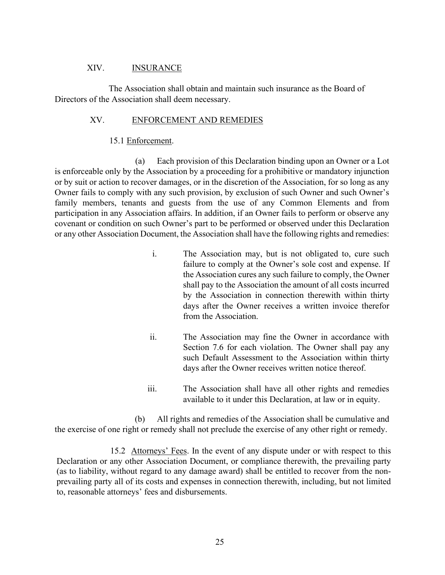#### XIV. INSURANCE

The Association shall obtain and maintain such insurance as the Board of Directors of the Association shall deem necessary.

#### XV. ENFORCEMENT AND REMEDIES

#### 15.1 Enforcement.

(a) Each provision of this Declaration binding upon an Owner or a Lot is enforceable only by the Association by a proceeding for a prohibitive or mandatory injunction or by suit or action to recover damages, or in the discretion of the Association, for so long as any Owner fails to comply with any such provision, by exclusion of such Owner and such Owner's family members, tenants and guests from the use of any Common Elements and from participation in any Association affairs. In addition, if an Owner fails to perform or observe any covenant or condition on such Owner's part to be performed or observed under this Declaration or any other Association Document, the Association shall have the following rights and remedies:

- i. The Association may, but is not obligated to, cure such failure to comply at the Owner's sole cost and expense. If the Association cures any such failure to comply, the Owner shall pay to the Association the amount of all costs incurred by the Association in connection therewith within thirty days after the Owner receives a written invoice therefor from the Association.
- ii. The Association may fine the Owner in accordance with Section 7.6 for each violation. The Owner shall pay any such Default Assessment to the Association within thirty days after the Owner receives written notice thereof.
- iii. The Association shall have all other rights and remedies available to it under this Declaration, at law or in equity.

(b) All rights and remedies of the Association shall be cumulative and the exercise of one right or remedy shall not preclude the exercise of any other right or remedy.

15.2 Attorneys' Fees. In the event of any dispute under or with respect to this Declaration or any other Association Document, or compliance therewith, the prevailing party (as to liability, without regard to any damage award) shall be entitled to recover from the nonprevailing party all of its costs and expenses in connection therewith, including, but not limited to, reasonable attorneys' fees and disbursements.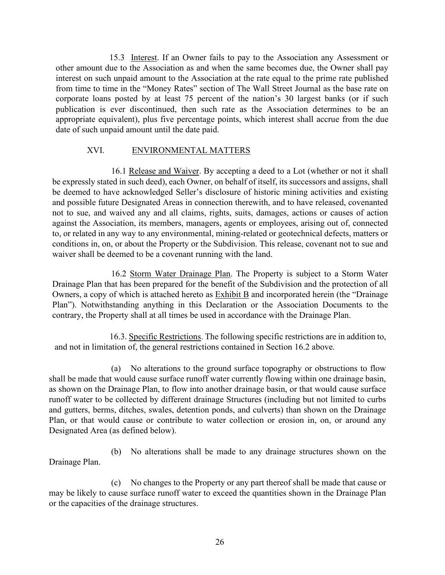15.3 Interest. If an Owner fails to pay to the Association any Assessment or other amount due to the Association as and when the same becomes due, the Owner shall pay interest on such unpaid amount to the Association at the rate equal to the prime rate published from time to time in the "Money Rates" section of The Wall Street Journal as the base rate on corporate loans posted by at least 75 percent of the nation's 30 largest banks (or if such publication is ever discontinued, then such rate as the Association determines to be an appropriate equivalent), plus five percentage points, which interest shall accrue from the due date of such unpaid amount until the date paid.

## XVI. ENVIRONMENTAL MATTERS

16.1 Release and Waiver. By accepting a deed to a Lot (whether or not it shall be expressly stated in such deed), each Owner, on behalf of itself, its successors and assigns, shall be deemed to have acknowledged Seller's disclosure of historic mining activities and existing and possible future Designated Areas in connection therewith, and to have released, covenanted not to sue, and waived any and all claims, rights, suits, damages, actions or causes of action against the Association, its members, managers, agents or employees, arising out of, connected to, or related in any way to any environmental, mining-related or geotechnical defects, matters or conditions in, on, or about the Property or the Subdivision. This release, covenant not to sue and waiver shall be deemed to be a covenant running with the land.

16.2 Storm Water Drainage Plan. The Property is subject to a Storm Water Drainage Plan that has been prepared for the benefit of the Subdivision and the protection of all Owners, a copy of which is attached hereto as  $\overline{\text{Exhibit B}}$  and incorporated herein (the "Drainage") Plan"). Notwithstanding anything in this Declaration or the Association Documents to the contrary, the Property shall at all times be used in accordance with the Drainage Plan.

16.3. Specific Restrictions. The following specific restrictions are in addition to, and not in limitation of, the general restrictions contained in Section 16.2 above.

(a) No alterations to the ground surface topography or obstructions to flow shall be made that would cause surface runoff water currently flowing within one drainage basin, as shown on the Drainage Plan, to flow into another drainage basin, or that would cause surface runoff water to be collected by different drainage Structures (including but not limited to curbs and gutters, berms, ditches, swales, detention ponds, and culverts) than shown on the Drainage Plan, or that would cause or contribute to water collection or erosion in, on, or around any Designated Area (as defined below).

(b) No alterations shall be made to any drainage structures shown on the Drainage Plan.

(c) No changes to the Property or any part thereof shall be made that cause or may be likely to cause surface runoff water to exceed the quantities shown in the Drainage Plan or the capacities of the drainage structures.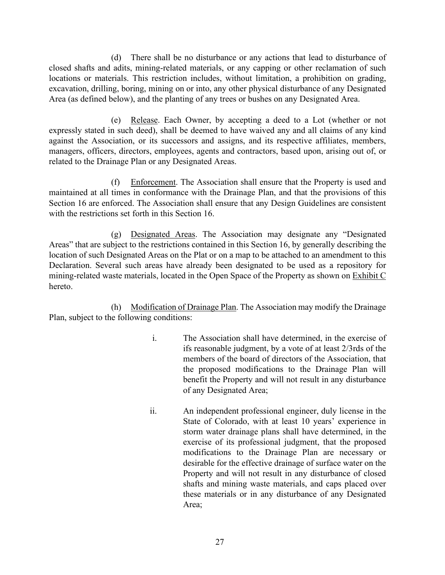(d) There shall be no disturbance or any actions that lead to disturbance of closed shafts and adits, mining-related materials, or any capping or other reclamation of such locations or materials. This restriction includes, without limitation, a prohibition on grading, excavation, drilling, boring, mining on or into, any other physical disturbance of any Designated Area (as defined below), and the planting of any trees or bushes on any Designated Area.

(e) Release. Each Owner, by accepting a deed to a Lot (whether or not expressly stated in such deed), shall be deemed to have waived any and all claims of any kind against the Association, or its successors and assigns, and its respective affiliates, members, managers, officers, directors, employees, agents and contractors, based upon, arising out of, or related to the Drainage Plan or any Designated Areas.

(f) Enforcement. The Association shall ensure that the Property is used and maintained at all times in conformance with the Drainage Plan, and that the provisions of this Section 16 are enforced. The Association shall ensure that any Design Guidelines are consistent with the restrictions set forth in this Section 16.

(g) Designated Areas. The Association may designate any "Designated Areas" that are subject to the restrictions contained in this Section 16, by generally describing the location of such Designated Areas on the Plat or on a map to be attached to an amendment to this Declaration. Several such areas have already been designated to be used as a repository for mining-related waste materials, located in the Open Space of the Property as shown on Exhibit C hereto.

(h) Modification of Drainage Plan. The Association may modify the Drainage Plan, subject to the following conditions:

- i. The Association shall have determined, in the exercise of ifs reasonable judgment, by a vote of at least 2/3rds of the members of the board of directors of the Association, that the proposed modifications to the Drainage Plan will benefit the Property and will not result in any disturbance of any Designated Area;
- ii. An independent professional engineer, duly license in the State of Colorado, with at least 10 years' experience in storm water drainage plans shall have determined, in the exercise of its professional judgment, that the proposed modifications to the Drainage Plan are necessary or desirable for the effective drainage of surface water on the Property and will not result in any disturbance of closed shafts and mining waste materials, and caps placed over these materials or in any disturbance of any Designated Area;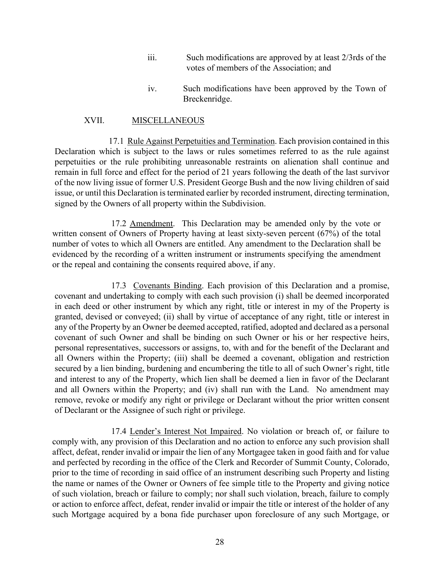- iii. Such modifications are approved by at least 2/3rds of the votes of members of the Association; and
- iv. Such modifications have been approved by the Town of Breckenridge.

#### XVII. MISCELLANEOUS

17.1 Rule Against Perpetuities and Termination. Each provision contained in this Declaration which is subject to the laws or rules sometimes referred to as the rule against perpetuities or the rule prohibiting unreasonable restraints on alienation shall continue and remain in full force and effect for the period of 21 years following the death of the last survivor of the now living issue of former U.S. President George Bush and the now living children of said issue, or until this Declaration is terminated earlier by recorded instrument, directing termination, signed by the Owners of all property within the Subdivision.

17.2 Amendment. This Declaration may be amended only by the vote or written consent of Owners of Property having at least sixty-seven percent (67%) of the total number of votes to which all Owners are entitled. Any amendment to the Declaration shall be evidenced by the recording of a written instrument or instruments specifying the amendment or the repeal and containing the consents required above, if any.

17.3 Covenants Binding. Each provision of this Declaration and a promise, covenant and undertaking to comply with each such provision (i) shall be deemed incorporated in each deed or other instrument by which any right, title or interest in my of the Property is granted, devised or conveyed; (ii) shall by virtue of acceptance of any right, title or interest in any of the Property by an Owner be deemed accepted, ratified, adopted and declared as a personal covenant of such Owner and shall be binding on such Owner or his or her respective heirs, personal representatives, successors or assigns, to, with and for the benefit of the Declarant and all Owners within the Property; (iii) shall be deemed a covenant, obligation and restriction secured by a lien binding, burdening and encumbering the title to all of such Owner's right, title and interest to any of the Property, which lien shall be deemed a lien in favor of the Declarant and all Owners within the Property; and (iv) shall run with the Land. No amendment may remove, revoke or modify any right or privilege or Declarant without the prior written consent of Declarant or the Assignee of such right or privilege.

17.4 Lender's Interest Not Impaired. No violation or breach of, or failure to comply with, any provision of this Declaration and no action to enforce any such provision shall affect, defeat, render invalid or impair the lien of any Mortgagee taken in good faith and for value and perfected by recording in the office of the Clerk and Recorder of Summit County, Colorado, prior to the time of recording in said office of an instrument describing such Property and listing the name or names of the Owner or Owners of fee simple title to the Property and giving notice of such violation, breach or failure to comply; nor shall such violation, breach, failure to comply or action to enforce affect, defeat, render invalid or impair the title or interest of the holder of any such Mortgage acquired by a bona fide purchaser upon foreclosure of any such Mortgage, or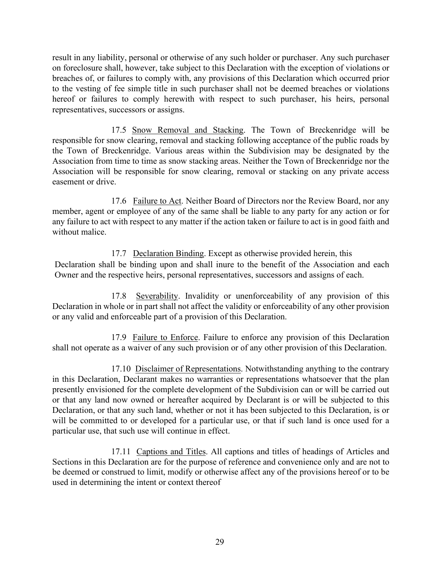result in any liability, personal or otherwise of any such holder or purchaser. Any such purchaser on foreclosure shall, however, take subject to this Declaration with the exception of violations or breaches of, or failures to comply with, any provisions of this Declaration which occurred prior to the vesting of fee simple title in such purchaser shall not be deemed breaches or violations hereof or failures to comply herewith with respect to such purchaser, his heirs, personal representatives, successors or assigns.

17.5 Snow Removal and Stacking. The Town of Breckenridge will be responsible for snow clearing, removal and stacking following acceptance of the public roads by the Town of Breckenridge. Various areas within the Subdivision may be designated by the Association from time to time as snow stacking areas. Neither the Town of Breckenridge nor the Association will be responsible for snow clearing, removal or stacking on any private access easement or drive.

17.6 Failure to Act. Neither Board of Directors nor the Review Board, nor any member, agent or employee of any of the same shall be liable to any party for any action or for any failure to act with respect to any matter if the action taken or failure to act is in good faith and without malice.

17.7 Declaration Binding. Except as otherwise provided herein, this Declaration shall be binding upon and shall inure to the benefit of the Association and each Owner and the respective heirs, personal representatives, successors and assigns of each.

17.8 Severability. Invalidity or unenforceability of any provision of this Declaration in whole or in part shall not affect the validity or enforceability of any other provision or any valid and enforceable part of a provision of this Declaration.

17.9 Failure to Enforce. Failure to enforce any provision of this Declaration shall not operate as a waiver of any such provision or of any other provision of this Declaration.

17.10 Disclaimer of Representations. Notwithstanding anything to the contrary in this Declaration, Declarant makes no warranties or representations whatsoever that the plan presently envisioned for the complete development of the Subdivision can or will be carried out or that any land now owned or hereafter acquired by Declarant is or will be subjected to this Declaration, or that any such land, whether or not it has been subjected to this Declaration, is or will be committed to or developed for a particular use, or that if such land is once used for a particular use, that such use will continue in effect.

17.11 Captions and Titles. All captions and titles of headings of Articles and Sections in this Declaration are for the purpose of reference and convenience only and are not to be deemed or construed to limit, modify or otherwise affect any of the provisions hereof or to be used in determining the intent or context thereof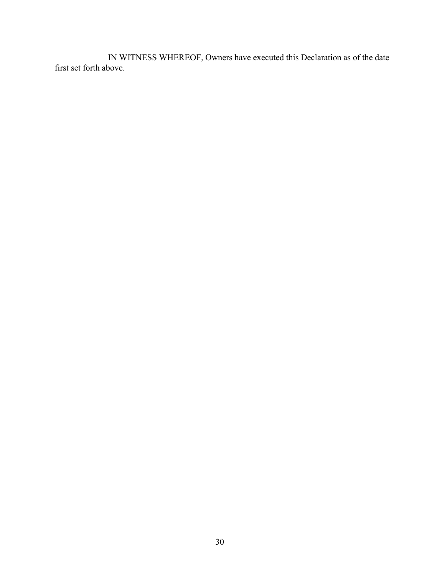IN WITNESS WHEREOF, Owners have executed this Declaration as of the date first set forth above.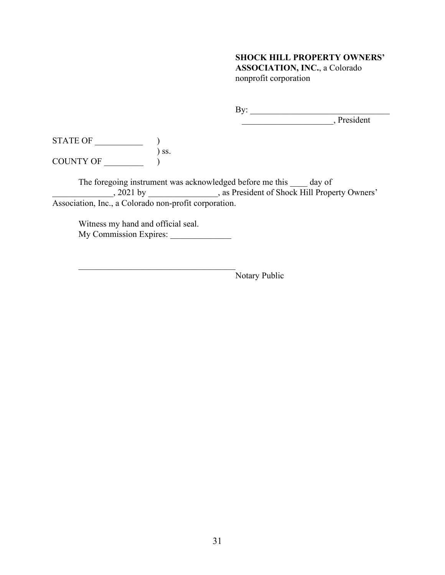#### **SHOCK HILL PROPERTY OWNERS'**

**ASSOCIATION, INC.**, a Colorado nonprofit corporation

By: \_\_\_\_\_\_\_\_\_\_\_\_\_\_\_\_\_\_\_\_\_\_\_\_\_\_\_\_\_\_\_\_

\_\_\_\_\_\_\_\_\_\_\_\_\_\_\_\_\_\_\_\_\_, President

 $STATE OF$   $()$ ) ss. COUNTY OF \_\_\_\_\_\_\_\_\_ )

The foregoing instrument was acknowledged before me this \_\_\_\_\_ day of \_\_\_\_\_\_\_\_\_\_\_\_\_\_, 2021 by \_\_\_\_\_\_\_\_\_\_\_\_\_\_\_\_, as President of Shock Hill Property Owners' Association, Inc., a Colorado non-profit corporation.

Witness my hand and official seal. My Commission Expires:

Notary Public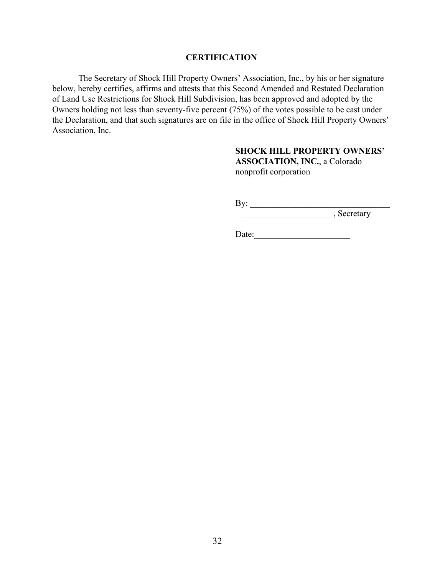### **CERTIFICATION**

The Secretary of Shock Hill Property Owners' Association, Inc., by his or her signature below, hereby certifies, affirms and attests that this Second Amended and Restated Declaration of Land Use Restrictions for Shock Hill Subdivision, has been approved and adopted by the Owners holding not less than seventy-five percent (75%) of the votes possible to be cast under the Declaration, and that such signatures are on file in the office of Shock Hill Property Owners' Association, Inc.

# **SHOCK HILL PROPERTY OWNERS'**

**ASSOCIATION, INC.**, a Colorado nonprofit corporation

By: \_\_\_\_\_\_\_\_\_\_\_\_\_\_\_\_\_\_\_\_\_\_\_\_\_\_\_\_\_\_\_\_

\_\_\_\_\_\_\_\_\_\_\_\_\_\_\_\_\_\_\_\_\_, Secretary

 $Date:$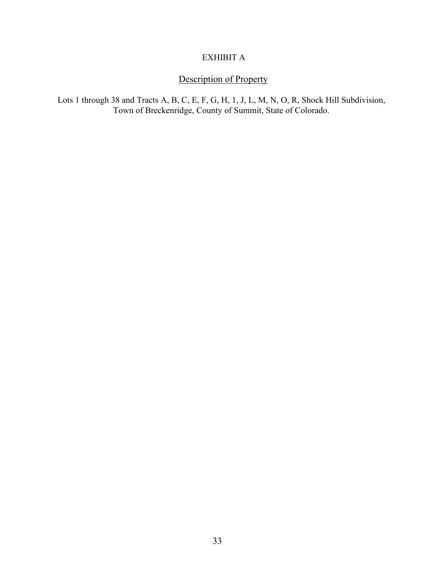# EXHIBIT A

# Description of Property

Lots 1 through 38 and Tracts A, B, C, E, F, G, H, 1, J, L, M, N, O, R, Shock Hill Subdivision, Town of Breckenridge, County of Summit, State of Colorado.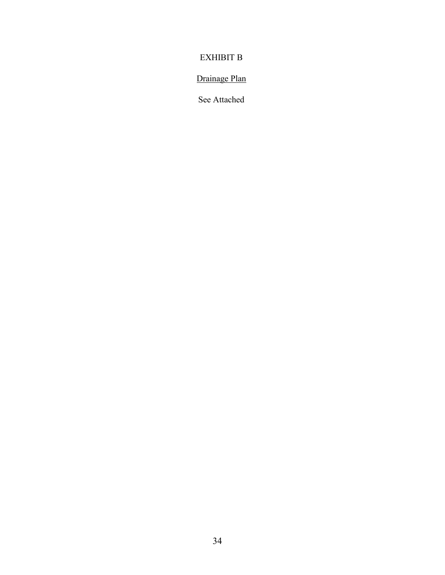# EXHIBIT B

# Drainage Plan

See Attached